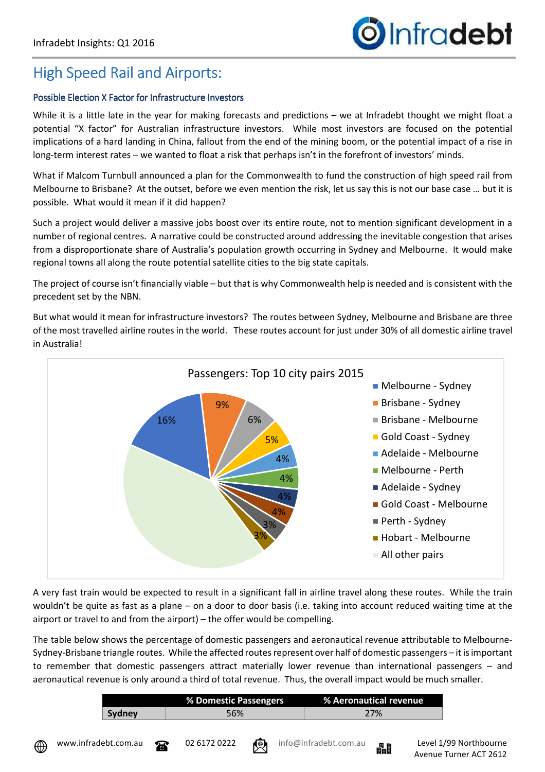## High Speed Rail and Airports:

## Possible Election X Factor for Infrastructure Investors

While it is a little late in the year for making forecasts and predictions – we at Infradebt thought we might float a potential "X factor" for Australian infrastructure investors. While most investors are focused on the potential implications of a hard landing in China, fallout from the end of the mining boom, or the potential impact of a rise in long-term interest rates – we wanted to float a risk that perhaps isn't in the forefront of investors' minds.

What if Malcom Turnbull announced a plan for the Commonwealth to fund the construction of high speed rail from Melbourne to Brisbane? At the outset, before we even mention the risk, let us say this is not our base case … but it is possible. What would it mean if it did happen?

Such a project would deliver a massive jobs boost over its entire route, not to mention significant development in a number of regional centres. A narrative could be constructed around addressing the inevitable congestion that arises from a disproportionate share of Australia's population growth occurring in Sydney and Melbourne. It would make regional towns all along the route potential satellite cities to the big state capitals.

The project of course isn't financially viable – but that is why Commonwealth help is needed and is consistent with the precedent set by the NBN.

But what would it mean for infrastructure investors? The routes between Sydney, Melbourne and Brisbane are three of the most travelled airline routes in the world. These routes account for just under 30% of all domestic airline travel in Australia!



A very fast train would be expected to result in a significant fall in airline travel along these routes. While the train wouldn't be quite as fast as a plane – on a door to door basis (i.e. taking into account reduced waiting time at the airport or travel to and from the airport) – the offer would be compelling.

The table below shows the percentage of domestic passengers and aeronautical revenue attributable to Melbourne-Sydney-Brisbane triangle routes. While the affected routes represent over half of domestic passengers – it is important to remember that domestic passengers attract materially lower revenue than international passengers – and aeronautical revenue is only around a third of total revenue. Thus, the overall impact would be much smaller.

|        | % Domestic Passengers | <b>X Aeronautical revenue</b> |
|--------|-----------------------|-------------------------------|
| Svdnev | 56%                   | 27%                           |